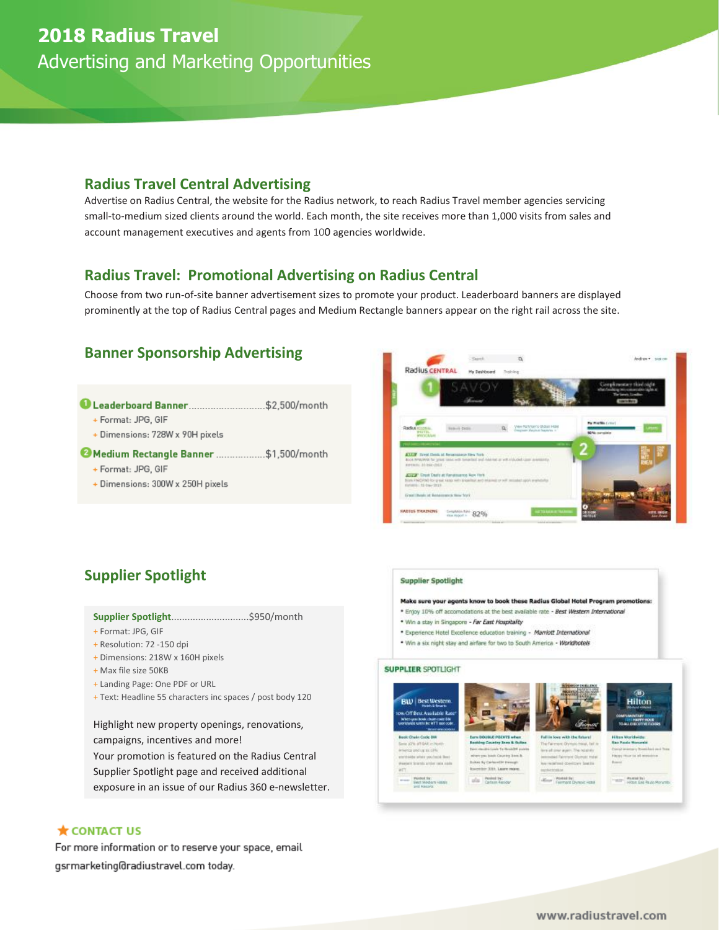# **2018 Radius Travel**

Advertising and Marketing Opportunities

### **Radius Travel Central Advertising**

Advertise on Radius Central, the website for the Radius network, to reach Radius Travel member agencies servicing small-to-medium sized clients around the world. Each month, the site receives more than 1,000 visits from sales and account management executives and agents from 100 agencies worldwide.

### **Radius Travel: Promotional Advertising on Radius Central**

Choose from two run-of-site banner advertisement sizes to promote your product. Leaderboard banners are displayed prominently at the top of Radius Central pages and Medium Rectangle banners appear on the right rail across the site.

## **Banner Sponsorship Advertising**

- Leaderboard Banner............................... \$2,500/month
	- + Format: JPG, GIF
	- + Dimensions: 728W x 90H pixels

#### Medium Rectangle Banner ..................\$1,500/month

- + Format: JPG, GIF
- + Dimensions: 300W x 250H pixels



# **Supplier Spotlight**

#### **Supplier Spotlight**.............................\$950/month

- + Format: JPG, GIF
- + Resolution: 72 -150 dpi
- + Dimensions: 218W x 160H pixels
- + Max file size 50KB
- + Landing Page: One PDF or URL
- + Text: Headline 55 characters inc spaces / post body 120

Highlight new property openings, renovations, campaigns, incentives and more! Your promotion is featured on the Radius Central Supplier Spotlight page and received additional exposure in an issue of our Radius 360 e-newsletter.

### $\bigstar$  CONTACT US

For more information or to reserve your space, email  $/$ 

#### **Supplier Spotlight**

- Make sure your agents know to book these Radius Global Hotel Program pro
- \* Enjoy 10% off accomodations at the best available rate Best Western International
- . Win a stay in Singapore Far East Hospitality
- \* Experience Hotel Excellence education training Marriott International
- . Win a six right stay and airfare for two to South America Worldhotels

#### **SUPPLIER SPOTLIGHT**

0.19.10.12% mis artist tata nati









**CONTRACTOR**